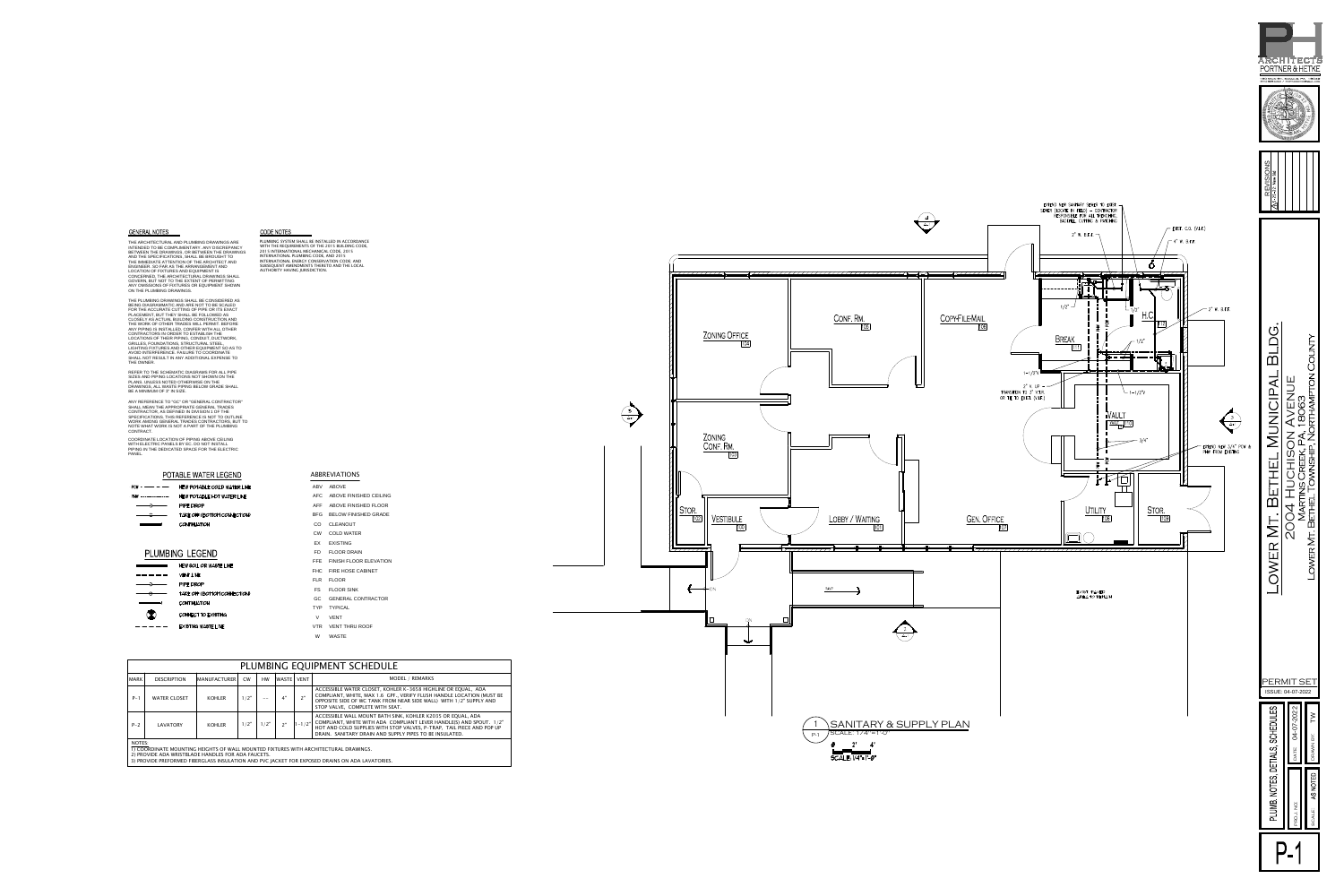AND THE SPECIFICATIONS, SHALL BE BROUGHT TO<br>THE IMMEDIATE ATTENTION OF THE ARCHITECT AND<br>ENGINEER. SO FAR AS THE ARRANGEMENT AND<br>LOCATION OF FIXTURES AND EQUIPMENT IS<br>CONCERNED, THE ARCHITECTURAL DRAWINGS SHALL<br>GOVERN, BUT **GENERAL NOTES<br>THE ARCHITECTURAL AND PLUMBING DRAWINGS ARE<br>INTENDED TO BE COMPLIMENTARY. ANY DISCREPANCY<br>BETWEEN THE DRAWINGS, OR BETWEEN THE DRAWINGS<br>AND THE SPECIFICATIONS, SHALL BE BROUGHT TO<br>THE IMMEDIATE ATTENTION OF** BETWEEN THE DRAWINGS INTENDED TO BE COMPLIMENTARY. ANY DISCREPANCY

AVOID INTERFERENCE. FAILURE TO COORDINATE<br>SHALL NOT RESULT IN ANY ADDITIONAL EXPENSE TO<br>THE OWNER. **GENERAL NOTES<br>
THE ANCHITECTURAL AND PLUMBING DRAWINGS ARE<br>
THE RACHITECTURAL AND PLUMBING DRAWINGS ARE<br>
BETWEEN THE DOWN CONTROL MOTHER THE CONTROL ONE CONTROL ONE OF THE CONTROL CONTROL ONE OF THE ANGELE CONTROL ONE OF** 



- 
- 
- 
- 
- 

# ABBREVIATIONS **ABBREVIATI**<br>ABV ABOVE

- ABBREVIATIONS<br>ABV ABOVE<br>AFC ABOVE FINISHED CEILING ABV ABOVE<br>AFC ABOVE FINISHED CEILING<br>AFF ABOVE FINISHED FLOOR AFC ABOVE FINISHED CEILING<br>AFF ABOVE FINISHED FLOOR<br>BFG BELOW FINISHED GRADE
- AFF ABOVE FIN<br>BFG BELOW FIN<br>CO CLEANOUT
- 
- ATT ABOVETINIST<br>BFG BELOW FINIST<br>CO CLEANOUT<br>CW COLD WATER
- BFG BELOW F<br>CO CLEANOL<br>CW COLD WA<br>EX EXISTING CO CLEANOOT<br>CW COLD WATER<br>EX EXISTING<br>FD FLOOR DRAIN
- 
- EX EXISTING<br>EX EXISTING<br>FD FLOOR DRAIN<br>FFE FINISH FLOOR ELEVATION
- FD FLOOR DRAIN<br>FFE FINISH FLOOR ELEV<br>FHC FIRE HOSE CABINET
- FLOOR<br>FFE FINISH<br>FHC FIRE H<br>FLR FLOOR
- FHC FIRE HOSE CABINET<br>FLR FLOOR<br>FS FLOOR SINK
- FIRE FIRE HOSE CABINET<br>FLR FLOOR<br>FS FLOOR SINK<br>GC GENERAL CONTRACTOR FS FLOOR S<br>GC GENERA<br>TYP TYPICAL
- 
- TYP TYPICAL<br>V VENT
- TYP TYPICAL<br>V VENT<br>VTR VENT THRU ROOF V VENT<br>VTR VENT-T<br>W WASTE
	-

| THE OWNER.                                                                                                                                                                                                         | ANY PIPING IS INSTALLED, CONFER WITH ALL OTHER<br>CONTRACTORS IN ORDER TO ESTABLISH THE<br>LOCATIONS OF THEIR PIPING, CONDUIT, DUCTWORK,<br>GRILLES, FOUNDATIONS, STRUCTURAL STEEL,<br>LIGHTING FIXTURES AND OTHER EQUIPMENT SO AS TO<br>AVOID INTERFERENCE. FAILURE TO COORDINATE<br>SHALL NOT RESULT IN ANY ADDITIONAL EXPENSE TO | THE WORK OF OTHER TRADES WILL PERMIT. BEFORE |      |            |            |                                        |                                                                                                                                                                                                                                                                        |  |
|--------------------------------------------------------------------------------------------------------------------------------------------------------------------------------------------------------------------|-------------------------------------------------------------------------------------------------------------------------------------------------------------------------------------------------------------------------------------------------------------------------------------------------------------------------------------|----------------------------------------------|------|------------|------------|----------------------------------------|------------------------------------------------------------------------------------------------------------------------------------------------------------------------------------------------------------------------------------------------------------------------|--|
| REFER TO THE SCHEMATIC DIAGRAMS FOR ALL PIPE<br>SIZES AND PIPING LOCATIONS NOT SHOWN ON THE<br>PLANS. UNLESS NOTED OTHERWISE ON THE<br>DRAWINGS, ALL WASTE PIPING BELOW GRADE SHALL<br>BE A MINIMUM OF 3" IN SIZE. |                                                                                                                                                                                                                                                                                                                                     |                                              |      |            |            |                                        |                                                                                                                                                                                                                                                                        |  |
| CONTRACT.                                                                                                                                                                                                          | ANY REFERENCE TO "GC" OR "GENERAL CONTRACTOR"<br>SHALL MEAN THE APPROPRIATE GENERAL TRADES<br>CONTRACTOR, AS DEFINED IN DIVISION 1 OF THE<br>SPECIFICATIONS. THIS REFERENCE IS NOT TO OUTLINE<br>WORK AMONG GENERAL TRADES CONTRACTORS, BUT TO<br>NOTE WHAT WORK IS NOT A PART OF THE PLUMBING                                      |                                              |      |            |            |                                        |                                                                                                                                                                                                                                                                        |  |
| PANEL.                                                                                                                                                                                                             | COORDINATE LOCATION OF PIPING ABOVE CEILING<br>WITH ELECTRIC PANELS BY EC. DO NOT INSTALL<br>PIPING IN THE DEDICATED SPACE FOR THE ELECTRIC                                                                                                                                                                                         |                                              |      |            |            |                                        |                                                                                                                                                                                                                                                                        |  |
| <b>POTABLE WATER LEGEND</b>                                                                                                                                                                                        |                                                                                                                                                                                                                                                                                                                                     |                                              |      |            |            |                                        | <b>ABBREVIATIONS</b>                                                                                                                                                                                                                                                   |  |
| · PCW –<br>NEW POTABLE COLD WATER LINE<br>— — —                                                                                                                                                                    |                                                                                                                                                                                                                                                                                                                                     |                                              |      |            |            | ABV<br>ABOVE                           |                                                                                                                                                                                                                                                                        |  |
| NEW POTABLE HOT WATER LINE<br>. РНW —--——--——--                                                                                                                                                                    |                                                                                                                                                                                                                                                                                                                                     |                                              |      |            |            | AFC<br>ABOVE FINISHED CEILING          |                                                                                                                                                                                                                                                                        |  |
| PIPE DROP                                                                                                                                                                                                          |                                                                                                                                                                                                                                                                                                                                     |                                              |      |            |            |                                        | <b>AFF</b><br>ABOVE FINISHED FLOOR                                                                                                                                                                                                                                     |  |
| TAKE OFF (BOTTOM CONNECTION)                                                                                                                                                                                       |                                                                                                                                                                                                                                                                                                                                     |                                              |      |            |            |                                        | BFG.<br><b>BELOW FINISHED GRADE</b>                                                                                                                                                                                                                                    |  |
| <b>CONTINUATION</b>                                                                                                                                                                                                |                                                                                                                                                                                                                                                                                                                                     |                                              |      |            |            |                                        | <sub>CO</sub><br><b>CLEANOUT</b>                                                                                                                                                                                                                                       |  |
|                                                                                                                                                                                                                    |                                                                                                                                                                                                                                                                                                                                     |                                              |      |            |            |                                        | <b>CW</b><br><b>COLD WATER</b>                                                                                                                                                                                                                                         |  |
|                                                                                                                                                                                                                    |                                                                                                                                                                                                                                                                                                                                     |                                              |      |            |            |                                        | <b>EXISTING</b><br>EX                                                                                                                                                                                                                                                  |  |
| PLUMBING LEGEND                                                                                                                                                                                                    |                                                                                                                                                                                                                                                                                                                                     |                                              |      |            |            |                                        | FD.<br><b>FLOOR DRAIN</b>                                                                                                                                                                                                                                              |  |
| NEW SOIL OR WASTE LINE                                                                                                                                                                                             |                                                                                                                                                                                                                                                                                                                                     |                                              |      |            |            | FINISH FLOOR ELEVATION<br>FFE.         |                                                                                                                                                                                                                                                                        |  |
| <b>VENT LINE</b>                                                                                                                                                                                                   |                                                                                                                                                                                                                                                                                                                                     |                                              |      |            |            | <b>FHC</b><br><b>FIRE HOSE CABINET</b> |                                                                                                                                                                                                                                                                        |  |
| PIPE DROP                                                                                                                                                                                                          |                                                                                                                                                                                                                                                                                                                                     |                                              |      |            |            | FLR FLOOR                              |                                                                                                                                                                                                                                                                        |  |
| TAKE OFF (BOTTOM CONNECTION)                                                                                                                                                                                       |                                                                                                                                                                                                                                                                                                                                     |                                              |      |            |            | <b>FLOOR SINK</b><br>FS.               |                                                                                                                                                                                                                                                                        |  |
| <b>CONTINUATION</b>                                                                                                                                                                                                |                                                                                                                                                                                                                                                                                                                                     |                                              |      |            |            | GC<br><b>GENERAL CONTRACTOR</b>        |                                                                                                                                                                                                                                                                        |  |
|                                                                                                                                                                                                                    |                                                                                                                                                                                                                                                                                                                                     |                                              |      |            |            | <b>TYP</b><br><b>TYPICAL</b>           |                                                                                                                                                                                                                                                                        |  |
| CONNECT TO EXISTING                                                                                                                                                                                                |                                                                                                                                                                                                                                                                                                                                     |                                              |      |            |            | V<br><b>VENT</b>                       |                                                                                                                                                                                                                                                                        |  |
| <b>EXISTING WASTE LINE</b>                                                                                                                                                                                         |                                                                                                                                                                                                                                                                                                                                     |                                              |      |            |            |                                        | VTR<br><b>VENT THRU ROOF</b>                                                                                                                                                                                                                                           |  |
|                                                                                                                                                                                                                    |                                                                                                                                                                                                                                                                                                                                     |                                              |      |            |            |                                        | W<br><b>WASTE</b>                                                                                                                                                                                                                                                      |  |
|                                                                                                                                                                                                                    |                                                                                                                                                                                                                                                                                                                                     |                                              |      |            |            |                                        | PLUMBING EQUIPMENT SCHEDULE                                                                                                                                                                                                                                            |  |
| <b>MARK</b>                                                                                                                                                                                                        | <b>DESCRIPTION</b>                                                                                                                                                                                                                                                                                                                  | <b>MANUFACTURER</b>                          | CW   | <b>HW</b>  | WASTE VENT |                                        | MODEL / REMARKS                                                                                                                                                                                                                                                        |  |
| $P-1$                                                                                                                                                                                                              | <b>WATER CLOSET</b>                                                                                                                                                                                                                                                                                                                 | <b>KOHLER</b>                                | 1/2" | $\qquad -$ | 4"         | 2"                                     | ACCESSIBLE WATER CLOSET, KOHLER K-3658 HIGHLINE OR EQUAL, ADA<br>COMPLIANT, WHITE, MAX 1.6 GPF., VERIFY FLUSH HANDLE LOCATION (MUST BE<br>OPPOSITE SIDE OF WC TANK FROM NEAR SIDE WALL) WITH 1/2" SUPPLY AND<br>STOP VALVE, COMPLETE WITH SEAT.                        |  |
| $P - 2$                                                                                                                                                                                                            | LAVATORY                                                                                                                                                                                                                                                                                                                            | <b>KOHLER</b>                                | 1/2" | 1/2"       | 2"         | $1 - 1/2"$                             | ACCESSIBLE WALL MOUNT BATH SINK, KOHLER K2035 OR EQUAL, ADA<br>COMPLIANT, WHITE WITH ADA COMPLIANT LEVER HANDLE(S) AND SPOUT. 1/2"<br>HOT AND COLD SUPPLIES WITH STOP VALVES, P-TRAP, TAIL PIECE AND POP UP<br>DRAIN. SANITARY DRAIN AND SUPPLY PIPES TO BE INSULATED. |  |
| NOTES:                                                                                                                                                                                                             |                                                                                                                                                                                                                                                                                                                                     |                                              |      |            |            |                                        |                                                                                                                                                                                                                                                                        |  |
|                                                                                                                                                                                                                    | 2) PROVIDE ADA WRISTBLADE HANDLES FOR ADA FAUCETS.                                                                                                                                                                                                                                                                                  |                                              |      |            |            |                                        | 1) COORDINATE MOUNTING HEIGHTS OF WALL MOUNTED FIXTURES WITH ARCHITECTURAL DRAWINGS.                                                                                                                                                                                   |  |
|                                                                                                                                                                                                                    |                                                                                                                                                                                                                                                                                                                                     |                                              |      |            |            |                                        | 3) PROVIDE PREFORMED FIBERGLASS INSULATION AND PVC JACKET FOR EXPOSED DRAINS ON ADA LAVATORIES.                                                                                                                                                                        |  |